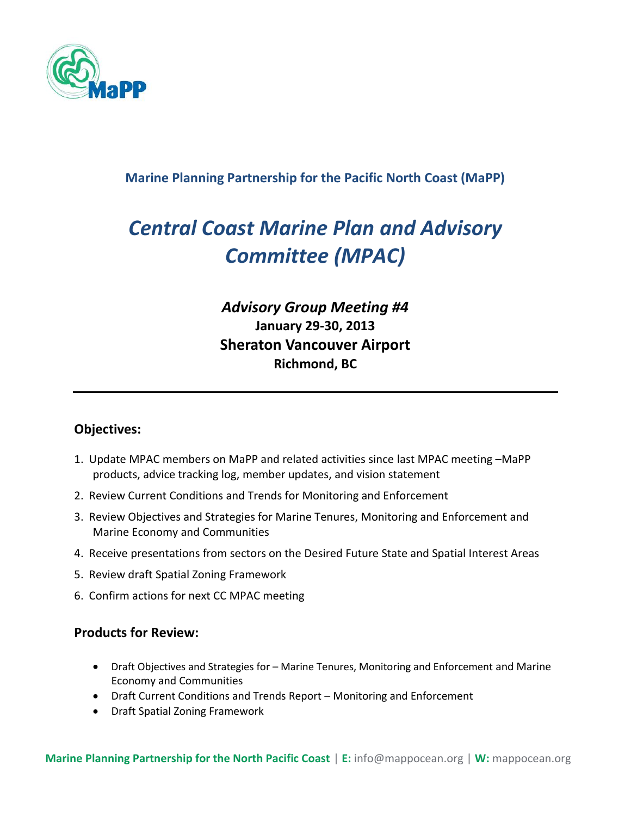

### **Marine Planning Partnership for the Pacific North Coast (MaPP)**

# *Central Coast Marine Plan and Advisory Committee (MPAC)*

## *Advisory Group Meeting #4* **January 29-30, 2013 Sheraton Vancouver Airport Richmond, BC**

#### **Objectives:**

- 1. Update MPAC members on MaPP and related activities since last MPAC meeting –MaPP products, advice tracking log, member updates, and vision statement
- 2. Review Current Conditions and Trends for Monitoring and Enforcement
- 3. Review Objectives and Strategies for Marine Tenures, Monitoring and Enforcement and Marine Economy and Communities
- 4. Receive presentations from sectors on the Desired Future State and Spatial Interest Areas
- 5. Review draft Spatial Zoning Framework
- 6. Confirm actions for next CC MPAC meeting

#### **Products for Review:**

- Draft Objectives and Strategies for Marine Tenures, Monitoring and Enforcement and Marine Economy and Communities
- Draft Current Conditions and Trends Report Monitoring and Enforcement
- Draft Spatial Zoning Framework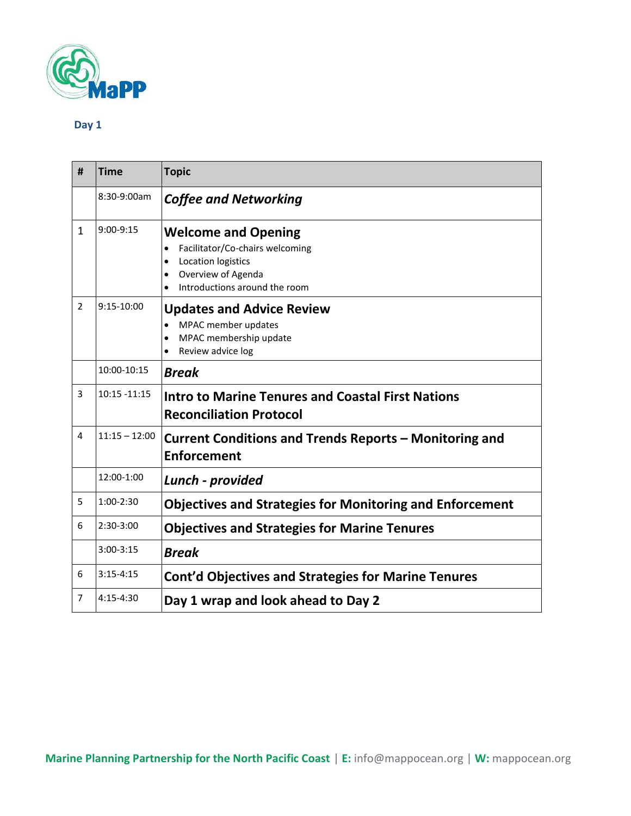

#### **Day 1**

| #              | <b>Time</b>     | <b>Topic</b>                                                                                                                                            |
|----------------|-----------------|---------------------------------------------------------------------------------------------------------------------------------------------------------|
|                | 8:30-9:00am     | <b>Coffee and Networking</b>                                                                                                                            |
| 1              | $9:00-9:15$     | <b>Welcome and Opening</b><br>Facilitator/Co-chairs welcoming<br>$\bullet$<br>Location logistics<br>Overview of Agenda<br>Introductions around the room |
| $\overline{2}$ | 9:15-10:00      | <b>Updates and Advice Review</b><br>MPAC member updates<br>MPAC membership update<br>$\bullet$<br>Review advice log                                     |
|                | 10:00-10:15     | <b>Break</b>                                                                                                                                            |
| 3              | $10:15 - 11:15$ | <b>Intro to Marine Tenures and Coastal First Nations</b><br><b>Reconciliation Protocol</b>                                                              |
| $\overline{4}$ | $11:15 - 12:00$ | Current Conditions and Trends Reports - Monitoring and<br><b>Enforcement</b>                                                                            |
|                | 12:00-1:00      | Lunch - provided                                                                                                                                        |
| 5              | $1:00-2:30$     | <b>Objectives and Strategies for Monitoring and Enforcement</b>                                                                                         |
| 6              | $2:30-3:00$     | <b>Objectives and Strategies for Marine Tenures</b>                                                                                                     |
|                | $3:00-3:15$     | <b>Break</b>                                                                                                                                            |
| 6              | $3:15-4:15$     | <b>Cont'd Objectives and Strategies for Marine Tenures</b>                                                                                              |
| 7              | $4:15-4:30$     | Day 1 wrap and look ahead to Day 2                                                                                                                      |